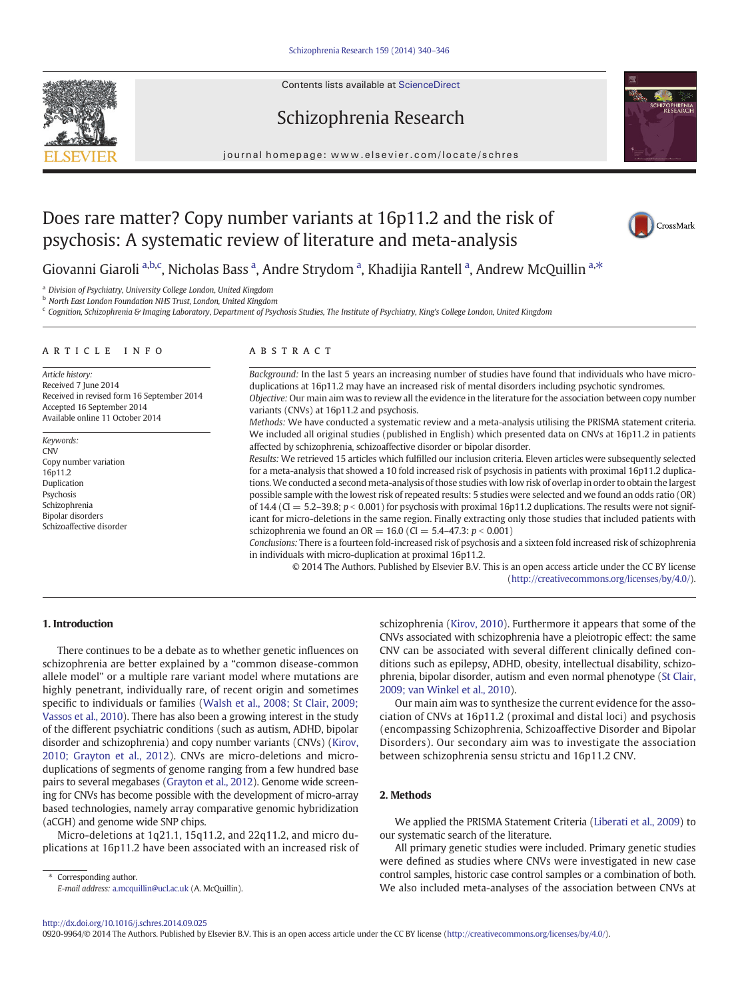Contents lists available at ScienceDirect



# Schizophrenia Research

journal homepage: www.elsevier.com/locate/schres



# Does rare matter? Copy number variants at 16p11.2 and the risk of psychosis: A systematic review of literature and meta-analysis



Giovanni Giaroli <sup>a,b,c</sup>, Nicholas Bass <sup>a</sup>, Andre Strydom <sup>a</sup>, Khadijia Rantell <sup>a</sup>, Andrew McQuillin <sup>a,\*</sup>

<sup>a</sup> Division of Psychiatry, University College London, United Kingdom

<sup>b</sup> North East London Foundation NHS Trust, London, United Kingdom

<sup>c</sup> Cognition, Schizophrenia & Imaging Laboratory, Department of Psychosis Studies, The Institute of Psychiatry, King's College London, United Kingdom

## article info abstract

Article history: Received 7 June 2014 Received in revised form 16 September 2014 Accepted 16 September 2014 Available online 11 October 2014

Keywords: CNV Copy number variation 16p11.2 Duplication Psychosis Schizophrenia Bipolar disorders Schizoaffective disorder

Background: In the last 5 years an increasing number of studies have found that individuals who have microduplications at 16p11.2 may have an increased risk of mental disorders including psychotic syndromes. Objective: Our main aim was to review all the evidence in the literature for the association between copy number variants (CNVs) at 16p11.2 and psychosis.

Methods: We have conducted a systematic review and a meta-analysis utilising the PRISMA statement criteria. We included all original studies (published in English) which presented data on CNVs at 16p11.2 in patients affected by schizophrenia, schizoaffective disorder or bipolar disorder.

Results: We retrieved 15 articles which fulfilled our inclusion criteria. Eleven articles were subsequently selected for a meta-analysis that showed a 10 fold increased risk of psychosis in patients with proximal 16p11.2 duplications. We conducted a second meta-analysis of those studies with low risk of overlap in order to obtain the largest possible sample with the lowest risk of repeated results: 5 studies were selected and we found an odds ratio (OR) of 14.4 (CI = 5.2–39.8;  $p < 0.001$ ) for psychosis with proximal 16p11.2 duplications. The results were not significant for micro-deletions in the same region. Finally extracting only those studies that included patients with schizophrenia we found an  $OR = 16.0$  (CI = 5.4–47.3:  $p < 0.001$ )

Conclusions: There is a fourteen fold-increased risk of psychosis and a sixteen fold increased risk of schizophrenia in individuals with micro-duplication at proximal 16p11.2.

© 2014 The Authors. Published by Elsevier B.V. This is an open access article under the CC BY license [\(http://creativecommons.org/licenses/by/4.0/](http://creativecommons.org/licenses/by-nc-nd/4.0/)).

# 1. Introduction

There continues to be a debate as to whether genetic influences on schizophrenia are better explained by a "common disease-common allele model" or a multiple rare variant model where mutations are highly penetrant, individually rare, of recent origin and sometimes specific to individuals or families [\(Walsh et al., 2008; St Clair, 2009;](#page-6-0) [Vassos et al., 2010](#page-6-0)). There has also been a growing interest in the study of the different psychiatric conditions (such as autism, ADHD, bipolar disorder and schizophrenia) and copy number variants (CNVs) ([Kirov,](#page-5-0) [2010; Grayton et al., 2012](#page-5-0)). CNVs are micro-deletions and microduplications of segments of genome ranging from a few hundred base pairs to several megabases [\(Grayton et al., 2012\)](#page-5-0). Genome wide screening for CNVs has become possible with the development of micro-array based technologies, namely array comparative genomic hybridization (aCGH) and genome wide SNP chips.

Micro-deletions at 1q21.1, 15q11.2, and 22q11.2, and micro duplications at 16p11.2 have been associated with an increased risk of

Corresponding author. E-mail address: [a.mcquillin@ucl.ac.uk](mailto:a.mcquillin@ucl.ac.uk) (A. McQuillin). schizophrenia [\(Kirov, 2010\)](#page-5-0). Furthermore it appears that some of the CNVs associated with schizophrenia have a pleiotropic effect: the same CNV can be associated with several different clinically defined conditions such as epilepsy, ADHD, obesity, intellectual disability, schizophrenia, bipolar disorder, autism and even normal phenotype ([St Clair,](#page-5-0) [2009; van Winkel et al., 2010](#page-5-0)).

Our main aim was to synthesize the current evidence for the association of CNVs at 16p11.2 (proximal and distal loci) and psychosis (encompassing Schizophrenia, Schizoaffective Disorder and Bipolar Disorders). Our secondary aim was to investigate the association between schizophrenia sensu strictu and 16p11.2 CNV.

# 2. Methods

We applied the PRISMA Statement Criteria ([Liberati et al., 2009\)](#page-5-0) to our systematic search of the literature.

All primary genetic studies were included. Primary genetic studies were defined as studies where CNVs were investigated in new case control samples, historic case control samples or a combination of both. We also included meta-analyses of the association between CNVs at

<http://dx.doi.org/10.1016/j.schres.2014.09.025>

0920-9964/© 2014 The Authors. Published by Elsevier B.V. This is an open access article under the CC BY license [\(http://creativecommons.org/licenses/by/4.0/\)](http://creativecommons.org/licenses/by-nc-nd/4.0/).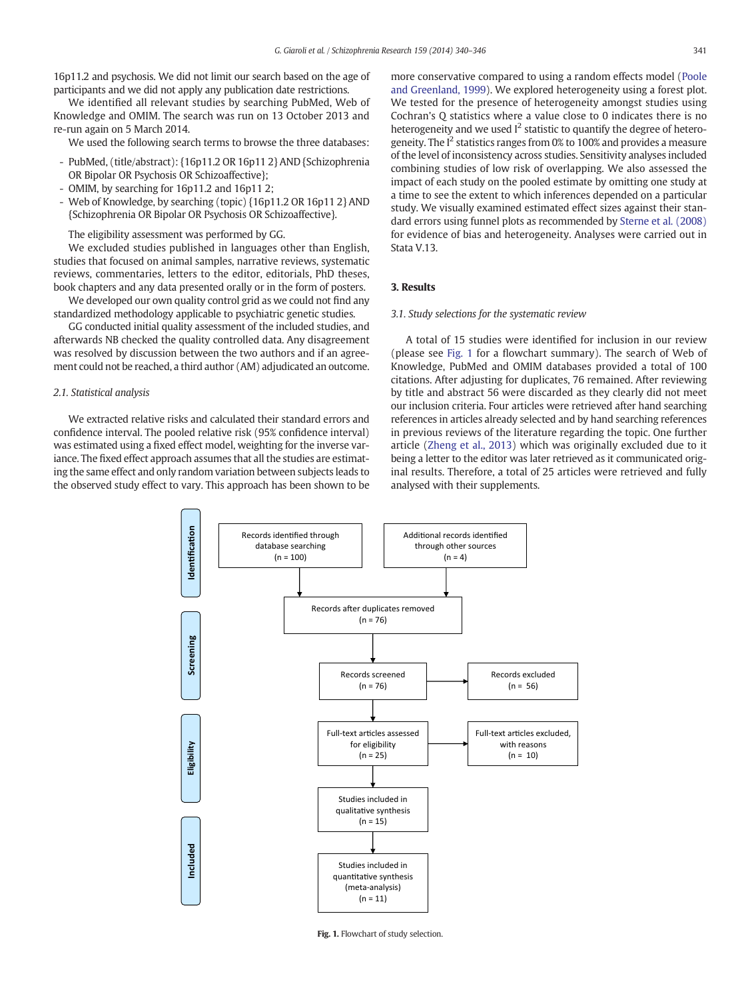16p11.2 and psychosis. We did not limit our search based on the age of participants and we did not apply any publication date restrictions.

We identified all relevant studies by searching PubMed, Web of Knowledge and OMIM. The search was run on 13 October 2013 and re-run again on 5 March 2014.

We used the following search terms to browse the three databases:

- PubMed, (title/abstract): {16p11.2 OR 16p11 2} AND {Schizophrenia OR Bipolar OR Psychosis OR Schizoaffective};
- OMIM, by searching for 16p11.2 and 16p11 2;
- Web of Knowledge, by searching (topic) {16p11.2 OR 16p11 2} AND {Schizophrenia OR Bipolar OR Psychosis OR Schizoaffective}.

The eligibility assessment was performed by GG.

We excluded studies published in languages other than English, studies that focused on animal samples, narrative reviews, systematic reviews, commentaries, letters to the editor, editorials, PhD theses, book chapters and any data presented orally or in the form of posters.

We developed our own quality control grid as we could not find any standardized methodology applicable to psychiatric genetic studies.

GG conducted initial quality assessment of the included studies, and afterwards NB checked the quality controlled data. Any disagreement was resolved by discussion between the two authors and if an agreement could not be reached, a third author (AM) adjudicated an outcome.

# 2.1. Statistical analysis

We extracted relative risks and calculated their standard errors and confidence interval. The pooled relative risk (95% confidence interval) was estimated using a fixed effect model, weighting for the inverse variance. The fixed effect approach assumes that all the studies are estimating the same effect and only random variation between subjects leads to the observed study effect to vary. This approach has been shown to be more conservative compared to using a random effects model ([Poole](#page-5-0) [and Greenland, 1999\)](#page-5-0). We explored heterogeneity using a forest plot. We tested for the presence of heterogeneity amongst studies using Cochran's Q statistics where a value close to 0 indicates there is no heterogeneity and we used  $I^2$  statistic to quantify the degree of heterogeneity. The  $I^2$  statistics ranges from 0% to 100% and provides a measure of the level of inconsistency across studies. Sensitivity analyses included combining studies of low risk of overlapping. We also assessed the impact of each study on the pooled estimate by omitting one study at a time to see the extent to which inferences depended on a particular study. We visually examined estimated effect sizes against their standard errors using funnel plots as recommended by [Sterne et al. \(2008\)](#page-5-0) for evidence of bias and heterogeneity. Analyses were carried out in Stata V<sub>13</sub>

# 3. Results

# 3.1. Study selections for the systematic review

A total of 15 studies were identified for inclusion in our review (please see Fig. 1 for a flowchart summary). The search of Web of Knowledge, PubMed and OMIM databases provided a total of 100 citations. After adjusting for duplicates, 76 remained. After reviewing by title and abstract 56 were discarded as they clearly did not meet our inclusion criteria. Four articles were retrieved after hand searching references in articles already selected and by hand searching references in previous reviews of the literature regarding the topic. One further article ([Zheng et al., 2013\)](#page-6-0) which was originally excluded due to it being a letter to the editor was later retrieved as it communicated original results. Therefore, a total of 25 articles were retrieved and fully analysed with their supplements.



Fig. 1. Flowchart of study selection.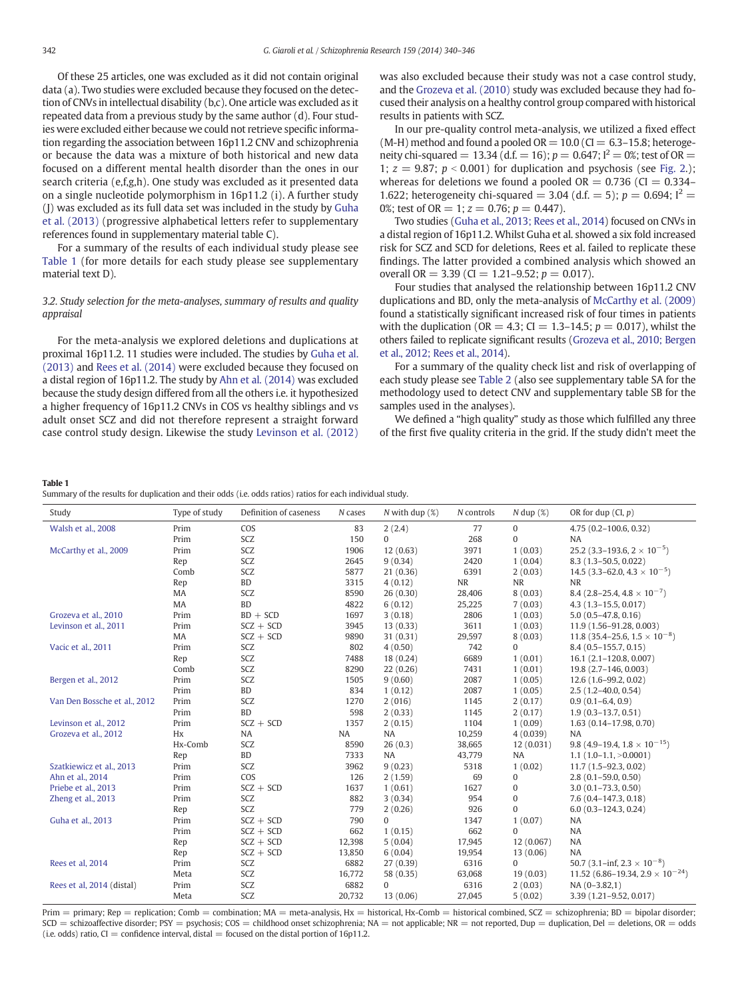Of these 25 articles, one was excluded as it did not contain original data (a). Two studies were excluded because they focused on the detection of CNVs in intellectual disability (b,c). One article was excluded as it repeated data from a previous study by the same author (d). Four studies were excluded either because we could not retrieve specific information regarding the association between 16p11.2 CNV and schizophrenia or because the data was a mixture of both historical and new data focused on a different mental health disorder than the ones in our search criteria (e,f,g,h). One study was excluded as it presented data on a single nucleotide polymorphism in 16p11.2 (i). A further study (J) was excluded as its full data set was included in the study by [Guha](#page-5-0) [et al. \(2013\)](#page-5-0) (progressive alphabetical letters refer to supplementary references found in supplementary material table C).

For a summary of the results of each individual study please see Table 1 (for more details for each study please see supplementary material text D).

# 3.2. Study selection for the meta-analyses, summary of results and quality appraisal

For the meta-analysis we explored deletions and duplications at proximal 16p11.2. 11 studies were included. The studies by [Guha et al.](#page-5-0) [\(2013\)](#page-5-0) and [Rees et al. \(2014\)](#page-5-0) were excluded because they focused on a distal region of 16p11.2. The study by [Ahn et al. \(2014\)](#page-5-0) was excluded because the study design differed from all the others i.e. it hypothesized a higher frequency of 16p11.2 CNVs in COS vs healthy siblings and vs adult onset SCZ and did not therefore represent a straight forward case control study design. Likewise the study [Levinson et al. \(2012\)](#page-5-0) was also excluded because their study was not a case control study, and the [Grozeva et al. \(2010\)](#page-5-0) study was excluded because they had focused their analysis on a healthy control group compared with historical results in patients with SCZ.

In our pre-quality control meta-analysis, we utilized a fixed effect (M-H) method and found a pooled  $OR = 10.0$  (CI = 6.3–15.8; heterogeneity chi-squared = 13.34 (d.f. = 16);  $p = 0.647$ ;  $I^2 = 0$ %; test of OR = 1;  $z = 9.87$ ;  $p < 0.001$ ) for duplication and psychosis (see [Fig. 2.](#page-3-0)); whereas for deletions we found a pooled  $OR = 0.736$  (CI = 0.334– 1.622; heterogeneity chi-squared = 3.04 (d.f. = 5);  $p = 0.694$ ;  $I^2 =$ 0%; test of OR = 1;  $z = 0.76$ ;  $p = 0.447$ ).

Two studies [\(Guha et al., 2013; Rees et al., 2014](#page-5-0)) focused on CNVs in a distal region of 16p11.2. Whilst Guha et al. showed a six fold increased risk for SCZ and SCD for deletions, Rees et al. failed to replicate these findings. The latter provided a combined analysis which showed an overall OR = 3.39 (CI = 1.21-9.52;  $p = 0.017$ ).

Four studies that analysed the relationship between 16p11.2 CNV duplications and BD, only the meta-analysis of [McCarthy et al. \(2009\)](#page-5-0) found a statistically significant increased risk of four times in patients with the duplication ( $OR = 4.3$ ;  $CI = 1.3-14.5$ ;  $p = 0.017$ ), whilst the others failed to replicate significant results [\(Grozeva et al., 2010; Bergen](#page-5-0) [et al., 2012; Rees et al., 2014](#page-5-0)).

For a summary of the quality check list and risk of overlapping of each study please see [Table 2](#page-3-0) (also see supplementary table SA for the methodology used to detect CNV and supplementary table SB for the samples used in the analyses).

We defined a "high quality" study as those which fulfilled any three of the first five quality criteria in the grid. If the study didn't meet the

#### Table 1

Summary of the results for duplication and their odds (i.e. odds ratios) ratios for each individual study.

| Study                        | Type of study | Definition of caseness | N cases | $N$ with dup $(\%)$ | N controls | $N$ dup $(\%)$ | OR for dup $(Cl, p)$                                |
|------------------------------|---------------|------------------------|---------|---------------------|------------|----------------|-----------------------------------------------------|
| Walsh et al., 2008           | Prim          | COS                    | 83      | 2(2.4)              | 77         | $\mathbf{0}$   | 4.75 (0.2-100.6, 0.32)                              |
|                              | Prim          | SCZ                    | 150     | $\mathbf{0}$        | 268        | $\mathbf{0}$   | <b>NA</b>                                           |
| McCarthy et al., 2009        | Prim          | SCZ                    | 1906    | 12(0.63)            | 3971       | 1(0.03)        | 25.2 (3.3–193.6, $2 \times 10^{-5}$ )               |
|                              | Rep           | SCZ                    | 2645    | 9(0.34)             | 2420       | 1(0.04)        | 8.3 (1.3-50.5, 0.022)                               |
|                              | Comb          | SCZ                    | 5877    | 21(0.36)            | 6391       | 2(0.03)        | 14.5 (3.3–62.0, 4.3 $\times$ 10 <sup>-5</sup> )     |
|                              | Rep           | <b>BD</b>              | 3315    | 4(0.12)             | <b>NR</b>  | <b>NR</b>      | <b>NR</b>                                           |
|                              | MA            | SCZ                    | 8590    | 26(0.30)            | 28,406     | 8(0.03)        | 8.4 (2.8–25.4, 4.8 $\times$ 10 <sup>-7</sup> )      |
|                              | MA            | <b>BD</b>              | 4822    | 6(0.12)             | 25,225     | 7(0.03)        | $4.3(1.3-15.5, 0.017)$                              |
| Grozeva et al., 2010         | Prim          | $BD + SCD$             | 1697    | 3(0.18)             | 2806       | 1(0.03)        | $5.0(0.5-47.8, 0.16)$                               |
| Levinson et al., 2011        | Prim          | $SCZ + SCD$            | 3945    | 13(0.33)            | 3611       | 1(0.03)        | 11.9 (1.56-91.28, 0.003)                            |
|                              | MA            | $SCZ + SCD$            | 9890    | 31(0.31)            | 29,597     | 8(0.03)        | 11.8 (35.4–25.6, $1.5 \times 10^{-8}$ )             |
| Vacic et al., 2011           | Prim          | SCZ                    | 802     | 4(0.50)             | 742        | $\Omega$       | 8.4 (0.5-155.7, 0.15)                               |
|                              | Rep           | SCZ                    | 7488    | 18(0.24)            | 6689       | 1(0.01)        | 16.1 (2.1-120.8, 0.007)                             |
|                              | Comb          | SCZ                    | 8290    | 22(0.26)            | 7431       | 1(0.01)        | 19.8 (2.7-146, 0.003)                               |
| Bergen et al., 2012          | Prim          | SCZ                    | 1505    | 9(0.60)             | 2087       | 1(0.05)        | $12.6(1.6-99.2, 0.02)$                              |
|                              | Prim          | <b>BD</b>              | 834     | 1(0.12)             | 2087       | 1(0.05)        | $2.5(1.2-40.0, 0.54)$                               |
| Van Den Bossche et al., 2012 | Prim          | SCZ                    | 1270    | 2(016)              | 1145       | 2(0.17)        | $0.9(0.1 - 6.4, 0.9)$                               |
|                              | Prim          | <b>BD</b>              | 598     | 2(0.33)             | 1145       | 2(0.17)        | $1.9(0.3-13.7, 0.51)$                               |
| Levinson et al., 2012        | Prim          | $SCZ + SCD$            | 1357    | 2(0.15)             | 1104       | 1(0.09)        | $1.63(0.14 - 17.98, 0.70)$                          |
| Grozeva et al., 2012         | Hx            | <b>NA</b>              | NA      | <b>NA</b>           | 10,259     | 4(0.039)       | <b>NA</b>                                           |
|                              | Hx-Comb       | SCZ                    | 8590    | 26(0.3)             | 38,665     | 12(0.031)      | 9.8 (4.9–19.4, $1.8 \times 10^{-15}$ )              |
|                              | Rep           | <b>BD</b>              | 7333    | NA                  | 43,779     | <b>NA</b>      | $1.1(1.0-1.1, >0.0001)$                             |
| Szatkiewicz et al., 2013     | Prim          | SCZ                    | 3962    | 9(0.23)             | 5318       | 1(0.02)        | $11.7(1.5-92.3, 0.02)$                              |
| Ahn et al., 2014             | Prim          | COS                    | 126     | 2(1.59)             | 69         | 0              | $2.8(0.1 - 59.0, 0.50)$                             |
| Priebe et al., 2013          | Prim          | $SCZ + SCD$            | 1637    | 1(0.61)             | 1627       | $\bf{0}$       | $3.0(0.1 - 73.3, 0.50)$                             |
| Zheng et al., 2013           | Prim          | SCZ                    | 882     | 3(0.34)             | 954        | $\bf{0}$       | $7.6(0.4 - 147.3, 0.18)$                            |
|                              | Rep           | SCZ                    | 779     | 2(0.26)             | 926        | $\mathbf{0}$   | $6.0(0.3-124.3, 0.24)$                              |
| Guha et al., 2013            | Prim          | $SCZ + SCD$            | 790     | $\Omega$            | 1347       | 1(0.07)        | <b>NA</b>                                           |
|                              | Prim          | $SCZ + SCD$            | 662     | 1(0.15)             | 662        | $\mathbf{0}$   | NA                                                  |
|                              | Rep           | $SCZ + SCD$            | 12,398  | 5(0.04)             | 17,945     | 12(0.067)      | <b>NA</b>                                           |
|                              | Rep           | $SCZ + SCD$            | 13,850  | 6(0.04)             | 19,954     | 13(0.06)       | <b>NA</b>                                           |
| Rees et al, 2014             | Prim          | SCZ                    | 6882    | 27(0.39)            | 6316       | $\bf{0}$       | 50.7 (3.1-inf, $2.3 \times 10^{-8}$ )               |
|                              | Meta          | SCZ                    | 16,772  | 58 (0.35)           | 63,068     | 19(0.03)       | 11.52 (6.86–19.34, 2.9 $\times$ 10 <sup>-24</sup> ) |
| Rees et al, 2014 (distal)    | Prim          | SCZ                    | 6882    | $\Omega$            | 6316       | 2(0.03)        | $NA(0-3.82,1)$                                      |
|                              | Meta          | SCZ                    | 20,732  | 13(0.06)            | 27,045     | 5(0.02)        | 3.39 (1.21-9.52, 0.017)                             |

Prim = primary; Rep = replication; Comb = combination; MA = meta-analysis, Hx = historical, Hx-Comb = historical combined, SCZ = schizophrenia; BD = bipolar disorder; SCD = schizoaffective disorder; PSY = psychosis; COS = childhood onset schizophrenia; NA = not applicable; NR = not reported, Dup = duplication, Del = deletions, OR = odds (i.e. odds) ratio,  $CI =$  confidence interval, distal  $=$  focused on the distal portion of 16p11.2.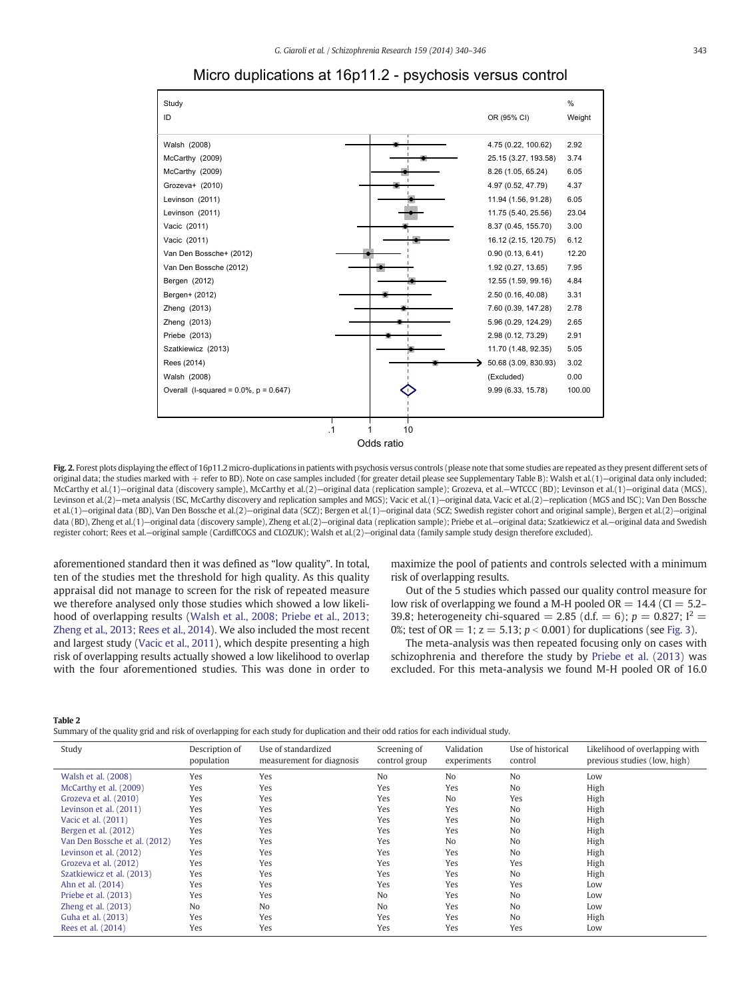<span id="page-3-0"></span>

# Micro duplications at 16p11.2 - psychosis versus control

Fig. 2. Forest plots displaying the effect of 16p11.2 micro-duplications in patients with psychosis versus controls (please note that some studies are repeated as they present different sets of original data; the studies marked with + refer to BD). Note on case samples included (for greater detail please see Supplementary Table B): Walsh et al.(1)—original data only included; McCarthy et al.(1)—original data (discovery sample), McCarthy et al.(2)—original data (replication sample); Grozeva, et al.—WTCCC (BD); Levinson et al.(1)—original data (MGS), Levinson et al.(2)—meta analysis (ISC, McCarthy discovery and replication samples and MGS); Vacic et al.(1)—original data, Vacic et al.(2)—replication (MGS and ISC); Van Den Bossche et al.(1)—original data (BD), Van Den Bossche et al.(2)—original data (SCZ); Bergen et al.(1)—original data (SCZ; Swedish register cohort and original sample), Bergen et al.(2)—original data (BD), Zheng et al.(1)—original data (discovery sample), Zheng et al.(2)—original data (replication sample); Priebe et al.—original data; Szatkiewicz et al.—original data and Swedish register cohort; Rees et al.—original sample (CardiffCOGS and CLOZUK); Walsh et al.(2)—original data (family sample study design therefore excluded).

aforementioned standard then it was defined as "low quality". In total, ten of the studies met the threshold for high quality. As this quality appraisal did not manage to screen for the risk of repeated measure we therefore analysed only those studies which showed a low likelihood of overlapping results [\(Walsh et al., 2008; Priebe et al., 2013;](#page-6-0) [Zheng et al., 2013; Rees et al., 2014](#page-6-0)). We also included the most recent and largest study [\(Vacic et al., 2011](#page-5-0)), which despite presenting a high risk of overlapping results actually showed a low likelihood to overlap with the four aforementioned studies. This was done in order to maximize the pool of patients and controls selected with a minimum risk of overlapping results.

Out of the 5 studies which passed our quality control measure for low risk of overlapping we found a M-H pooled  $OR = 14.4$  (CI = 5.2– 39.8; heterogeneity chi-squared = 2.85 (d.f. = 6);  $p = 0.827$ ;  $I^2$  = 0%; test of OR  $= 1$ ;  $z = 5.13$ ;  $p < 0.001$ ) for duplications (see [Fig. 3\)](#page-4-0).

The meta-analysis was then repeated focusing only on cases with schizophrenia and therefore the study by [Priebe et al. \(2013\)](#page-5-0) was excluded. For this meta-analysis we found M-H pooled OR of 16.0

Table 2

| Summary of the quality grid and risk of overlapping for each study for duplication and their odd ratios for each individual study. |  |
|------------------------------------------------------------------------------------------------------------------------------------|--|
|------------------------------------------------------------------------------------------------------------------------------------|--|

| Study                         | Description of<br>population | Use of standardized<br>measurement for diagnosis | Screening of<br>control group | Validation<br>experiments | Use of historical<br>control | Likelihood of overlapping with<br>previous studies (low, high) |
|-------------------------------|------------------------------|--------------------------------------------------|-------------------------------|---------------------------|------------------------------|----------------------------------------------------------------|
| Walsh et al. (2008)           | Yes                          | Yes                                              | N <sub>o</sub>                | N <sub>o</sub>            | No                           | Low                                                            |
| McCarthy et al. (2009)        | Yes                          | Yes                                              | Yes                           | Yes                       | N <sub>o</sub>               | High                                                           |
| Grozeva et al. (2010)         | Yes                          | Yes                                              | Yes                           | N <sub>o</sub>            | Yes                          | High                                                           |
| Levinson et al. (2011)        | Yes                          | Yes                                              | Yes                           | Yes                       | N <sub>o</sub>               | High                                                           |
| Vacic et al. (2011)           | Yes                          | Yes                                              | Yes                           | Yes                       | N <sub>o</sub>               | High                                                           |
| Bergen et al. (2012)          | Yes                          | Yes                                              | Yes                           | Yes                       | N <sub>o</sub>               | High                                                           |
| Van Den Bossche et al. (2012) | Yes                          | Yes                                              | Yes                           | N <sub>o</sub>            | N <sub>o</sub>               | High                                                           |
| Levinson et al. (2012)        | Yes                          | Yes                                              | Yes                           | Yes                       | N <sub>o</sub>               | High                                                           |
| Grozeva et al. (2012)         | Yes                          | Yes                                              | Yes                           | Yes                       | Yes                          | High                                                           |
| Szatkiewicz et al. (2013)     | Yes                          | Yes                                              | Yes                           | Yes                       | N <sub>o</sub>               | High                                                           |
| Ahn et al. (2014)             | Yes                          | Yes                                              | Yes                           | Yes                       | Yes                          | Low                                                            |
| Priebe et al. (2013)          | Yes                          | Yes                                              | N <sub>o</sub>                | Yes                       | N <sub>o</sub>               | Low                                                            |
| Zheng et al. $(2013)$         | N <sub>o</sub>               | N <sub>o</sub>                                   | N <sub>o</sub>                | Yes                       | N <sub>o</sub>               | Low                                                            |
| Guha et al. (2013)            | Yes                          | Yes                                              | Yes                           | Yes                       | N <sub>0</sub>               | High                                                           |
| Rees et al. (2014)            | Yes                          | Yes                                              | Yes                           | Yes                       | Yes                          | Low                                                            |
|                               |                              |                                                  |                               |                           |                              |                                                                |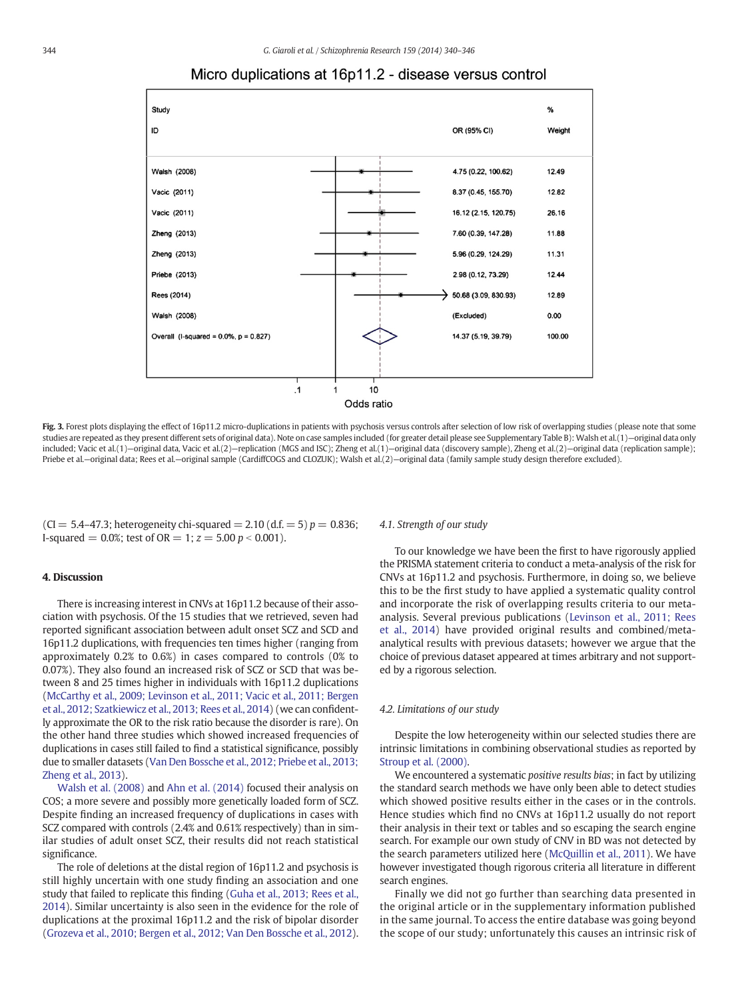<span id="page-4-0"></span>

# Micro duplications at 16p11.2 - disease versus control

Fig. 3. Forest plots displaying the effect of 16p11.2 micro-duplications in patients with psychosis versus controls after selection of low risk of overlapping studies (please note that some studies are repeated as they present different sets of original data). Note on case samples included (for greater detail please see Supplementary Table B): Walsh et al.(1)—original data only included; Vacic et al.(1)—original data, Vacic et al.(2)—replication (MGS and ISC); Zheng et al.(1)—original data (discovery sample), Zheng et al.(2)—original data (replication sample); Priebe et al.—original data; Rees et al.—original sample (CardiffCOGS and CLOZUK); Walsh et al.(2)—original data (family sample study design therefore excluded).

 $(CI = 5.4-47.3$ ; heterogeneity chi-squared = 2.10  $(d.f. = 5)p = 0.836$ ; I-squared = 0.0%; test of OR = 1;  $z = 5.00 p < 0.001$ ).

# 4. Discussion

There is increasing interest in CNVs at 16p11.2 because of their association with psychosis. Of the 15 studies that we retrieved, seven had reported significant association between adult onset SCZ and SCD and 16p11.2 duplications, with frequencies ten times higher (ranging from approximately 0.2% to 0.6%) in cases compared to controls (0% to 0.07%). They also found an increased risk of SCZ or SCD that was between 8 and 25 times higher in individuals with 16p11.2 duplications [\(McCarthy et al., 2009; Levinson et al., 2011; Vacic et al., 2011; Bergen](#page-5-0) [et al., 2012; Szatkiewicz et al., 2013; Rees et al., 2014\)](#page-5-0) (we can confidently approximate the OR to the risk ratio because the disorder is rare). On the other hand three studies which showed increased frequencies of duplications in cases still failed to find a statistical significance, possibly due to smaller datasets ([Van Den Bossche et al., 2012; Priebe et al., 2013;](#page-6-0) [Zheng et al., 2013](#page-6-0)).

[Walsh et al. \(2008\)](#page-6-0) and [Ahn et al. \(2014\)](#page-5-0) focused their analysis on COS; a more severe and possibly more genetically loaded form of SCZ. Despite finding an increased frequency of duplications in cases with SCZ compared with controls (2.4% and 0.61% respectively) than in similar studies of adult onset SCZ, their results did not reach statistical significance.

The role of deletions at the distal region of 16p11.2 and psychosis is still highly uncertain with one study finding an association and one study that failed to replicate this finding ([Guha et al., 2013; Rees et al.,](#page-5-0) [2014](#page-5-0)). Similar uncertainty is also seen in the evidence for the role of duplications at the proximal 16p11.2 and the risk of bipolar disorder [\(Grozeva et al., 2010; Bergen et al., 2012; Van Den Bossche et al., 2012\)](#page-5-0).

## 4.1. Strength of our study

To our knowledge we have been the first to have rigorously applied the PRISMA statement criteria to conduct a meta-analysis of the risk for CNVs at 16p11.2 and psychosis. Furthermore, in doing so, we believe this to be the first study to have applied a systematic quality control and incorporate the risk of overlapping results criteria to our metaanalysis. Several previous publications [\(Levinson et al., 2011; Rees](#page-5-0) [et al., 2014\)](#page-5-0) have provided original results and combined/metaanalytical results with previous datasets; however we argue that the choice of previous dataset appeared at times arbitrary and not supported by a rigorous selection.

# 4.2. Limitations of our study

Despite the low heterogeneity within our selected studies there are intrinsic limitations in combining observational studies as reported by [Stroup et al. \(2000\)](#page-5-0).

We encountered a systematic positive results bias; in fact by utilizing the standard search methods we have only been able to detect studies which showed positive results either in the cases or in the controls. Hence studies which find no CNVs at 16p11.2 usually do not report their analysis in their text or tables and so escaping the search engine search. For example our own study of CNV in BD was not detected by the search parameters utilized here [\(McQuillin et al., 2011](#page-5-0)). We have however investigated though rigorous criteria all literature in different search engines.

Finally we did not go further than searching data presented in the original article or in the supplementary information published in the same journal. To access the entire database was going beyond the scope of our study; unfortunately this causes an intrinsic risk of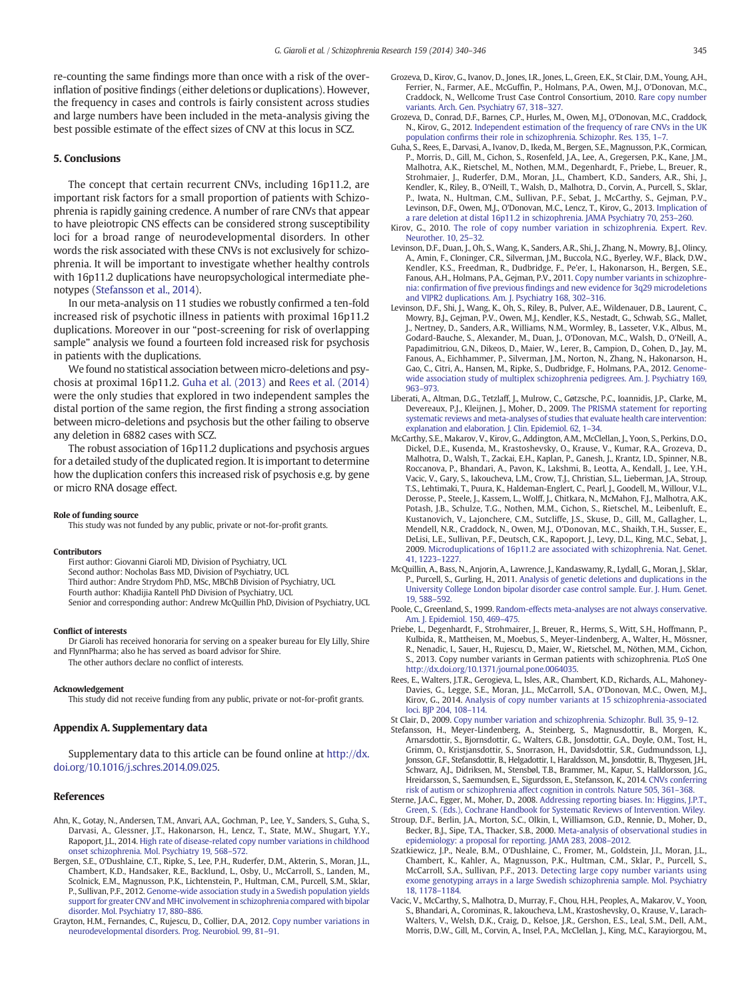<span id="page-5-0"></span>re-counting the same findings more than once with a risk of the overinflation of positive findings (either deletions or duplications). However, the frequency in cases and controls is fairly consistent across studies and large numbers have been included in the meta-analysis giving the best possible estimate of the effect sizes of CNV at this locus in SCZ.

# 5. Conclusions

The concept that certain recurrent CNVs, including 16p11.2, are important risk factors for a small proportion of patients with Schizophrenia is rapidly gaining credence. A number of rare CNVs that appear to have pleiotropic CNS effects can be considered strong susceptibility loci for a broad range of neurodevelopmental disorders. In other words the risk associated with these CNVs is not exclusively for schizophrenia. It will be important to investigate whether healthy controls with 16p11.2 duplications have neuropsychological intermediate phenotypes (Stefansson et al., 2014).

In our meta-analysis on 11 studies we robustly confirmed a ten-fold increased risk of psychotic illness in patients with proximal 16p11.2 duplications. Moreover in our "post-screening for risk of overlapping sample" analysis we found a fourteen fold increased risk for psychosis in patients with the duplications.

We found no statistical association between micro-deletions and psychosis at proximal 16p11.2. Guha et al. (2013) and Rees et al. (2014) were the only studies that explored in two independent samples the distal portion of the same region, the first finding a strong association between micro-deletions and psychosis but the other failing to observe any deletion in 6882 cases with SCZ.

The robust association of 16p11.2 duplications and psychosis argues for a detailed study of the duplicated region. It is important to determine how the duplication confers this increased risk of psychosis e.g. by gene or micro RNA dosage effect.

## Role of funding source

This study was not funded by any public, private or not-for-profit grants.

#### Contributors

- First author: Giovanni Giaroli MD, Division of Psychiatry, UCL
- Second author: Nocholas Bass MD, Division of Psychiatry, UCL
- Third author: Andre Strydom PhD, MSc, MBChB Division of Psychiatry, UCL
- Fourth author: Khadijia Rantell PhD Division of Psychiatry, UCL Senior and corresponding author: Andrew McQuillin PhD, Division of Psychiatry, UCL

#### Conflict of interests

Dr Giaroli has received honoraria for serving on a speaker bureau for Ely Lilly, Shire and FlynnPharma; also he has served as board advisor for Shire. The other authors declare no conflict of interests.

# Acknowledgement

This study did not receive funding from any public, private or not-for-profit grants.

# Appendix A. Supplementary data

Supplementary data to this article can be found online at [http://dx.](http://dx.doi.org/10.1016/j.schres.2014.09.025) [doi.org/10.1016/j.schres.2014.09.025.](http://dx.doi.org/10.1016/j.schres.2014.09.025)

## References

- Ahn, K., Gotay, N., Andersen, T.M., Anvari, A.A., Gochman, P., Lee, Y., Sanders, S., Guha, S., Darvasi, A., Glessner, J.T., Hakonarson, H., Lencz, T., State, M.W., Shugart, Y.Y., Rapoport, J.L., 2014. [High rate of disease-related copy number variations in childhood](http://refhub.elsevier.com/S0920-9964(14)00517-9/rf0005) [onset schizophrenia. Mol. Psychiatry 19, 568](http://refhub.elsevier.com/S0920-9964(14)00517-9/rf0005)–572.
- Bergen, S.E., O'Dushlaine, C.T., Ripke, S., Lee, P.H., Ruderfer, D.M., Akterin, S., Moran, J.L., Chambert, K.D., Handsaker, R.E., Backlund, L., Osby, U., McCarroll, S., Landen, M., Scolnick, E.M., Magnusson, P.K., Lichtenstein, P., Hultman, C.M., Purcell, S.M., Sklar, P., Sullivan, P.F., 2012. [Genome-wide association study in a Swedish population yields](http://refhub.elsevier.com/S0920-9964(14)00517-9/rf0010) [support for greater CNV and MHC involvement in schizophrenia compared with bipolar](http://refhub.elsevier.com/S0920-9964(14)00517-9/rf0010) [disorder. Mol. Psychiatry 17, 880](http://refhub.elsevier.com/S0920-9964(14)00517-9/rf0010)–886.
- Grayton, H.M., Fernandes, C., Rujescu, D., Collier, D.A., 2012. [Copy number variations in](http://refhub.elsevier.com/S0920-9964(14)00517-9/rf0015) [neurodevelopmental disorders. Prog. Neurobiol. 99, 81](http://refhub.elsevier.com/S0920-9964(14)00517-9/rf0015)–91.
- Grozeva, D., Kirov, G., Ivanov, D., Jones, I.R., Jones, L., Green, E.K., St Clair, D.M., Young, A.H., Ferrier, N., Farmer, A.E., McGuffin, P., Holmans, P.A., Owen, M.J., O'Donovan, M.C., Craddock, N., Wellcome Trust Case Control Consortium, 2010. [Rare copy number](http://refhub.elsevier.com/S0920-9964(14)00517-9/rf0020) [variants. Arch. Gen. Psychiatry 67, 318](http://refhub.elsevier.com/S0920-9964(14)00517-9/rf0020)–327.
- Grozeva, D., Conrad, D.F., Barnes, C.P., Hurles, M., Owen, M.J., O'Donovan, M.C., Craddock, N., Kirov, G., 2012. [Independent estimation of the frequency of rare CNVs in the UK](http://refhub.elsevier.com/S0920-9964(14)00517-9/rf0025) population confi[rms their role in schizophrenia. Schizophr. Res. 135, 1](http://refhub.elsevier.com/S0920-9964(14)00517-9/rf0025)–7.
- Guha, S., Rees, E., Darvasi, A., Ivanov, D., Ikeda, M., Bergen, S.E., Magnusson, P.K., Cormican, P., Morris, D., Gill, M., Cichon, S., Rosenfeld, J.A., Lee, A., Gregersen, P.K., Kane, J.M., Malhotra, A.K., Rietschel, M., Nothen, M.M., Degenhardt, F., Priebe, L., Breuer, R., Strohmaier, J., Ruderfer, D.M., Moran, J.L., Chambert, K.D., Sanders, A.R., Shi, J., Kendler, K., Riley, B., O'Neill, T., Walsh, D., Malhotra, D., Corvin, A., Purcell, S., Sklar, P., Iwata, N., Hultman, C.M., Sullivan, P.F., Sebat, J., McCarthy, S., Gejman, P.V., Levinson, D.F., Owen, M.J., O'Donovan, M.C., Lencz, T., Kirov, G., 2013. [Implication of](http://refhub.elsevier.com/S0920-9964(14)00517-9/rf0030) [a rare deletion at distal 16p11.2 in schizophrenia. JAMA Psychiatry 70, 253](http://refhub.elsevier.com/S0920-9964(14)00517-9/rf0030)–260.
- Kirov, G., 2010. [The role of copy number variation in schizophrenia. Expert. Rev.](http://refhub.elsevier.com/S0920-9964(14)00517-9/rf0035) [Neurother. 10, 25](http://refhub.elsevier.com/S0920-9964(14)00517-9/rf0035)–32.
- Levinson, D.F., Duan, J., Oh, S., Wang, K., Sanders, A.R., Shi, J., Zhang, N., Mowry, B.J., Olincy, A., Amin, F., Cloninger, C.R., Silverman, J.M., Buccola, N.G., Byerley, W.F., Black, D.W., Kendler, K.S., Freedman, R., Dudbridge, F., Pe'er, I., Hakonarson, H., Bergen, S.E., Fanous, A.H., Holmans, P.A., Gejman, P.V., 2011. [Copy number variants in schizophre](http://refhub.elsevier.com/S0920-9964(14)00517-9/rf0045)nia: confirmation of five previous fi[ndings and new evidence for 3q29 microdeletions](http://refhub.elsevier.com/S0920-9964(14)00517-9/rf0045) [and VIPR2 duplications. Am. J. Psychiatry 168, 302](http://refhub.elsevier.com/S0920-9964(14)00517-9/rf0045)–316.
- Levinson, D.F., Shi, J., Wang, K., Oh, S., Riley, B., Pulver, A.E., Wildenauer, D.B., Laurent, C., Mowry, B.J., Gejman, P.V., Owen, M.J., Kendler, K.S., Nestadt, G., Schwab, S.G., Mallet, J., Nertney, D., Sanders, A.R., Williams, N.M., Wormley, B., Lasseter, V.K., Albus, M., Godard-Bauche, S., Alexander, M., Duan, J., O'Donovan, M.C., Walsh, D., O'Neill, A., Papadimitriou, G.N., Dikeos, D., Maier, W., Lerer, B., Campion, D., Cohen, D., Jay, M., Fanous, A., Eichhammer, P., Silverman, J.M., Norton, N., Zhang, N., Hakonarson, H., Gao, C., Citri, A., Hansen, M., Ripke, S., Dudbridge, F., Holmans, P.A., 2012. [Genome](http://refhub.elsevier.com/S0920-9964(14)00517-9/rf0050)[wide association study of multiplex schizophrenia pedigrees. Am. J. Psychiatry 169,](http://refhub.elsevier.com/S0920-9964(14)00517-9/rf0050) [963](http://refhub.elsevier.com/S0920-9964(14)00517-9/rf0050)–973.
- Liberati, A., Altman, D.G., Tetzlaff, J., Mulrow, C., Gøtzsche, P.C., Ioannidis, J.P., Clarke, M., Devereaux, P.J., Kleijnen, J., Moher, D., 2009. [The PRISMA statement for reporting](http://refhub.elsevier.com/S0920-9964(14)00517-9/rf0055) [systematic reviews and meta-analyses of studies that evaluate health care intervention:](http://refhub.elsevier.com/S0920-9964(14)00517-9/rf0055) [explanation and elaboration. J. Clin. Epidemiol. 62, 1](http://refhub.elsevier.com/S0920-9964(14)00517-9/rf0055)–34.
- McCarthy, S.E., Makarov, V., Kirov, G., Addington, A.M., McClellan, J., Yoon, S., Perkins, D.O., Dickel, D.E., Kusenda, M., Krastoshevsky, O., Krause, V., Kumar, R.A., Grozeva, D., Malhotra, D., Walsh, T., Zackai, E.H., Kaplan, P., Ganesh, J., Krantz, I.D., Spinner, N.B., Roccanova, P., Bhandari, A., Pavon, K., Lakshmi, B., Leotta, A., Kendall, J., Lee, Y.H., Vacic, V., Gary, S., Iakoucheva, L.M., Crow, T.J., Christian, S.L., Lieberman, J.A., Stroup, T.S., Lehtimaki, T., Puura, K., Haldeman-Englert, C., Pearl, J., Goodell, M., Willour, V.L., Derosse, P., Steele, J., Kassem, L., Wolff, J., Chitkara, N., McMahon, F.J., Malhotra, A.K., Potash, J.B., Schulze, T.G., Nothen, M.M., Cichon, S., Rietschel, M., Leibenluft, E., Kustanovich, V., Lajonchere, C.M., Sutcliffe, J.S., Skuse, D., Gill, M., Gallagher, L., Mendell, N.R., Craddock, N., Owen, M.J., O'Donovan, M.C., Shaikh, T.H., Susser, E., DeLisi, L.E., Sullivan, P.F., Deutsch, C.K., Rapoport, J., Levy, D.L., King, M.C., Sebat, J., 2009. [Microduplications of 16p11.2 are associated with schizophrenia. Nat. Genet.](http://refhub.elsevier.com/S0920-9964(14)00517-9/rf0060) [41, 1223](http://refhub.elsevier.com/S0920-9964(14)00517-9/rf0060)–1227.
- McQuillin, A., Bass, N., Anjorin, A., Lawrence, J., Kandaswamy, R., Lydall, G., Moran, J., Sklar, P., Purcell, S., Gurling, H., 2011. [Analysis of genetic deletions and duplications in the](http://refhub.elsevier.com/S0920-9964(14)00517-9/rf0065) [University College London bipolar disorder case control sample. Eur. J. Hum. Genet.](http://refhub.elsevier.com/S0920-9964(14)00517-9/rf0065) [19, 588](http://refhub.elsevier.com/S0920-9964(14)00517-9/rf0065)–592.
- Poole, C., Greenland, S., 1999. [Random-effects meta-analyses are not always conservative.](http://refhub.elsevier.com/S0920-9964(14)00517-9/rf0070) [Am. J. Epidemiol. 150, 469](http://refhub.elsevier.com/S0920-9964(14)00517-9/rf0070)–475.
- Priebe, L., Degenhardt, F., Strohmairer, J., Breuer, R., Herms, S., Witt, S.H., Hoffmann, P., Kulbida, R., Mattheisen, M., Moebus, S., Meyer-Lindenberg, A., Walter, H., Mössner, R., Nenadic, I., Sauer, H., Rujescu, D., Maier, W., Rietschel, M., Nöthen, M.M., Cichon, S., 2013. Copy number variants in German patients with schizophrenia. PLoS One http://dx.doi.org[/10.1371/journal.pone.0064035](http://dx.doi.org/10.1371/journal.pone.0064035).
- Rees, E., Walters, J.T.R., Gerogieva, L., Isles, A.R., Chambert, K.D., Richards, A.L., Mahoney-Davies, G., Legge, S.E., Moran, J.L., McCarroll, S.A., O'Donovan, M.C., Owen, M.J., Kirov, G., 2014. [Analysis of copy number variants at 15 schizophrenia-associated](http://refhub.elsevier.com/S0920-9964(14)00517-9/rf0080) [loci. BJP 204, 108](http://refhub.elsevier.com/S0920-9964(14)00517-9/rf0080)–114.
- St Clair, D., 2009. [Copy number variation and schizophrenia. Schizophr. Bull. 35, 9](http://refhub.elsevier.com/S0920-9964(14)00517-9/rf0085)–12.
- Stefansson, H., Meyer-Lindenberg, A., Steinberg, S., Magnusdottir, B., Morgen, K., Arnarsdottir, S., Bjornsdottir, G., Walters, G.B., Jonsdottir, G.A., Doyle, O.M., Tost, H., Grimm, O., Kristjansdottir, S., Snorrason, H., Davidsdottir, S.R., Gudmundsson, L.J., Jonsson, G.F., Stefansdottir, B., Helgadottir, I., Haraldsson, M., Jonsdottir, B., Thygesen, J.H., Schwarz, A.J., Didriksen, M., Stensbøl, T.B., Brammer, M., Kapur, S., Halldorsson, J.G., Hreidarsson, S., Saemundsen, E., Sigurdsson, E., Stefansson, K., 2014. [CNVs conferring](http://refhub.elsevier.com/S0920-9964(14)00517-9/rf0090) [risk of autism or schizophrenia affect cognition in controls. Nature 505, 361](http://refhub.elsevier.com/S0920-9964(14)00517-9/rf0090)–368.
- Sterne, J.A.C., Egger, M., Moher, D., 2008. [Addressing reporting biases. In: Higgins, J.P.T.,](http://refhub.elsevier.com/S0920-9964(14)00517-9/rf0095) [Green, S. \(Eds.\), Cochrane Handbook for Systematic Reviews of Intervention. Wiley.](http://refhub.elsevier.com/S0920-9964(14)00517-9/rf0095)
- Stroup, D.F., Berlin, J.A., Morton, S.C., Olkin, I., Williamson, G.D., Rennie, D., Moher, D., Becker, B.J., Sipe, T.A., Thacker, S.B., 2000. [Meta-analysis of observational studies in](http://refhub.elsevier.com/S0920-9964(14)00517-9/rf0100) [epidemiology: a proposal for reporting. JAMA 283, 2008](http://refhub.elsevier.com/S0920-9964(14)00517-9/rf0100)–2012.
- Szatkiewicz, J.P., Neale, B.M., O'Dushlaine, C., Fromer, M., Goldstein, J.I., Moran, J.L., Chambert, K., Kahler, A., Magnusson, P.K., Hultman, C.M., Sklar, P., Purcell, S., McCarroll, S.A., Sullivan, P.F., 2013. [Detecting large copy number variants using](http://refhub.elsevier.com/S0920-9964(14)00517-9/rf0105) [exome genotyping arrays in a large Swedish schizophrenia sample. Mol. Psychiatry](http://refhub.elsevier.com/S0920-9964(14)00517-9/rf0105) [18, 1178](http://refhub.elsevier.com/S0920-9964(14)00517-9/rf0105)–1184.
- Vacic, V., McCarthy, S., Malhotra, D., Murray, F., Chou, H.H., Peoples, A., Makarov, V., Yoon, S., Bhandari, A., Corominas, R., Iakoucheva, L.M., Krastoshevsky, O., Krause, V., Larach-Walters, V., Welsh, D.K., Craig, D., Kelsoe, J.R., Gershon, E.S., Leal, S.M., Dell, A.M., Morris, D.W., Gill, M., Corvin, A., Insel, P.A., McClellan, J., King, M.C., Karayiorgou, M.,